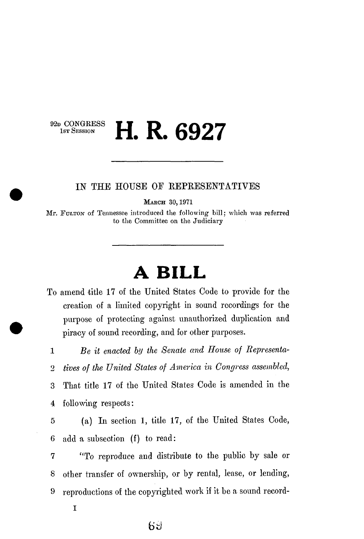92<sub>D</sub> CONGRESS<br>1st Session

## **H. R. 6927**

## IN THE HOUSE OE REPRESENTATIVES

MARCH 30, 1971

Mr. FULTON of Tennessee introduced the following bill; which was referred to the Committee on the Judiciary

## **A BILL**

To amend title 17 of the United States Code to provide for the creation of a limited copyright in sound recordings for the purpose of protecting against unauthorized duplication and piracy of sound recording, and for other purposes.

1 *Be it enacted by the Senate and House of Representa-*

2 *fives of the United States of America in Congress assembled,* 

3 That title 17 of the United States Code is amended in the 4 following respects:

5 (a) In section 1, title 17, of the United States Code, 6 add a subsection (f) to read:

7 "To reproduce and distribute to the public by sale or 8 other transfer of ownership, or by rental, lease, or lending, 9 reproductions of the copyrighted work if it be a sound record-

I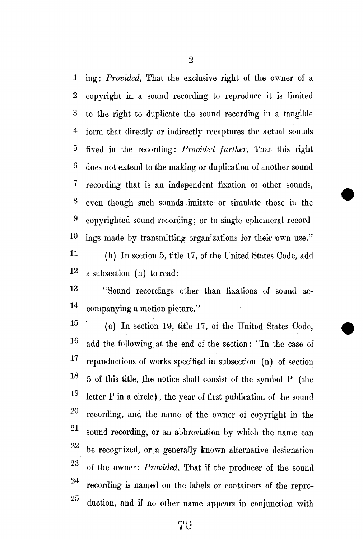1 ing: *Provided,* That the exclusive right of the owner of a 2 copyright in a sound recording to reproduce it is limited 3 to the right to duplicate the sound recording in a tangible 4 form that directly or indirectly recaptures the actual sounds 5 fixed in the recording: *Provided further,* That this right 6 does not extend to the making or duplication of another sound 7 recording. that is an independent fixation of other sounds, 8 even though such sounds -imitate or simulate those in the 9 copyrighted sound recording; or to single ephemeral record-1° ings made by transmitting organizations for their own use." 11 (b) In section 5, title 17, of the United States Code, add 1 2 a subsection (n) to read:

13 ''Sound recordings other than fixations of sound ac- $14$  companying a motion picture."

 $15$  (c) In section 19, title 17, of the United States Code,  $\mathbf{1}$  add the following at the end of the section: "In the case of 17 reproductions of works specified in subsection (n) of section 18 5 of this title, the notice shall consist of the symbol P (the 19 letter P in a circle), the year of first publication of the sound 20 recording, and the name of the owner of copyright in the **91**  sound recording, or an abbreviation by which the name can **92**  be recognized, or a generally known alternative designation **93**  .of the owner: *Provided,* That if the producer of the sound 24 recording is named on the labels or containers of the repro- $25\,$ duction, and if no other name appears in conjunction with

duction, and if no other name appears in conjunction  $\mathcal{O}(n)$  $70$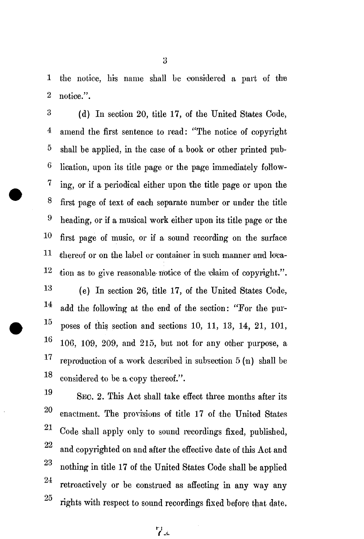1 the notice, his name shall be considered a part of the 2 notice.".

3 (d) In section 20, title 17, of the United States Code, 4 amend the first sentence to read: "The notice of copyright 5 shall be applied, in the case of a book or other printed pub-6 lication, upon its title page or the page immediately follow-7 ing, or if a periodical either upon the title page or upon the 8 first page of text of each separate number or under the title  $9$  heading, or if a musical work either upon its title page or the  $10$  first page of music, or if a sound recording on the surface 11 thereof or on the label or container in such manner and loca- $12$  tion as to give reasonable-notice of the elaim of copyright.".

13 (e) In section 26, title 17, of the United States Code, 14 add the following at the end of the section: "Eor the pur-**15**  poses of this section and sections 10, 11, 13, 14, 21, 101, **16** 106, 109, 209, and 215, hut not for any other purpose, a **17**  reproduction of a work described in subsection  $5(n)$  shall be **18**  considered to be a copy thereof.".

19 SEC. 2. This Act shall take effect three months after its 20 enactment. The provisions of title 17 of the United States 21 Code shall apply only to sound recordings fixed, published, 22 and copyrighted on and after the effective date of this Act and 23  $\frac{1}{\sqrt{11}}$  of the United States Code shall be applied States Code shall be applied States Code shall be applied States Code shall be applied States Code shall be applied States Code shall be applied States Code shall b **94**  retroactively or be construed as affecting in any way any 25 rights with respect to sound recordings fixed before that date. rights with respect to sound recordings fixed before that date.

**i-1**